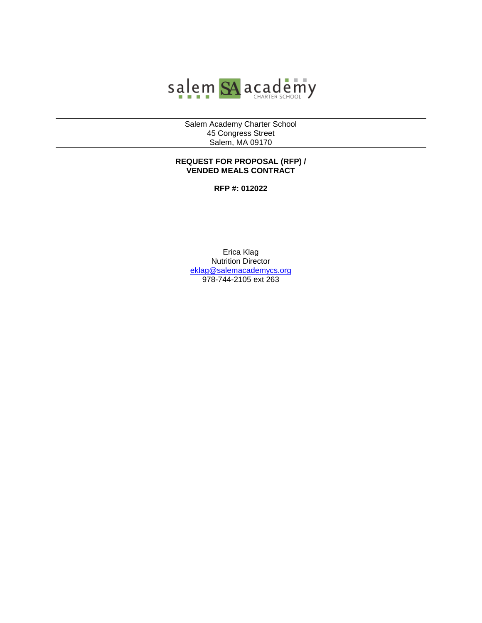

Salem Academy Charter School 45 Congress Street Salem, MA 09170

#### **REQUEST FOR PROPOSAL (RFP) / VENDED MEALS CONTRACT**

**RFP #: 012022**

Erica Klag Nutrition Director [eklag@salemacademycs.org](mailto:eklag@salemacademycs.org) 978-744-2105 ext 263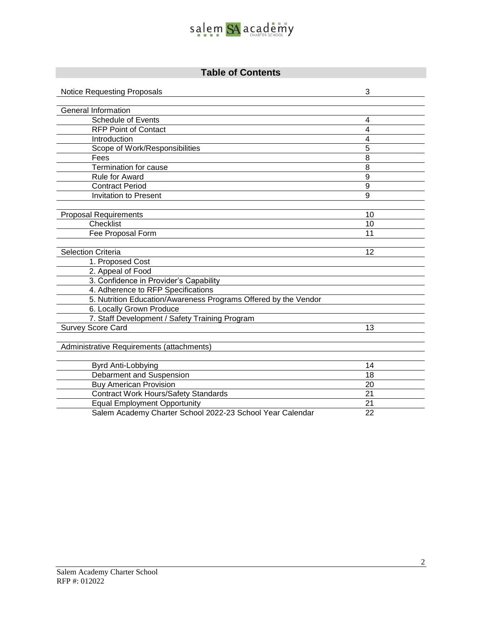

# **Table of Contents**

| <b>Notice Requesting Proposals</b>                              | 3               |
|-----------------------------------------------------------------|-----------------|
|                                                                 |                 |
| <b>General Information</b>                                      |                 |
| <b>Schedule of Events</b>                                       | 4               |
| <b>RFP Point of Contact</b>                                     | $\overline{4}$  |
| Introduction                                                    | 4               |
| Scope of Work/Responsibilities                                  | 5               |
| Fees                                                            | $\overline{8}$  |
| <b>Termination for cause</b>                                    | $\overline{8}$  |
| <b>Rule for Award</b>                                           | 9               |
| <b>Contract Period</b>                                          | 9               |
| <b>Invitation to Present</b>                                    | 9               |
|                                                                 |                 |
| Proposal Requirements                                           | 10              |
| Checklist                                                       | $\overline{10}$ |
| Fee Proposal Form                                               | 11              |
|                                                                 |                 |
| Selection Criteria                                              | 12              |
| 1. Proposed Cost                                                |                 |
| 2. Appeal of Food                                               |                 |
| 3. Confidence in Provider's Capability                          |                 |
| 4. Adherence to RFP Specifications                              |                 |
| 5. Nutrition Education/Awareness Programs Offered by the Vendor |                 |
| 6. Locally Grown Produce                                        |                 |
| 7. Staff Development / Safety Training Program                  |                 |
| <b>Survey Score Card</b>                                        | 13              |
|                                                                 |                 |
| Administrative Requirements (attachments)                       |                 |
|                                                                 |                 |
| Byrd Anti-Lobbying                                              | 14              |
| Debarment and Suspension                                        | 18              |
| <b>Buy American Provision</b>                                   | 20              |
| <b>Contract Work Hours/Safety Standards</b>                     | 21              |
| <b>Equal Employment Opportunity</b>                             | 21              |
| Salem Academy Charter School 2022-23 School Year Calendar       | 22              |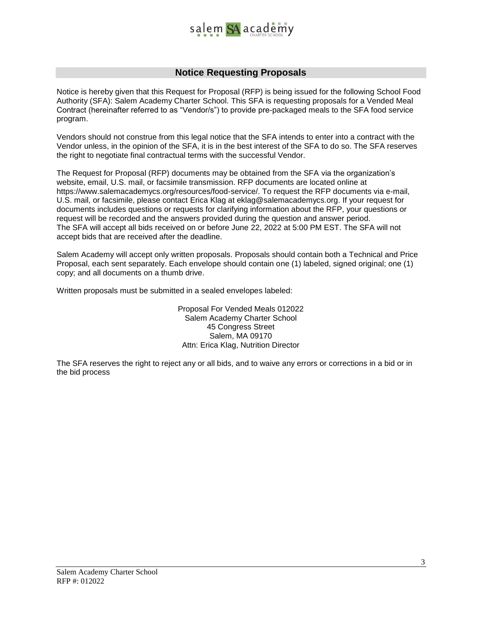

## **Notice Requesting Proposals**

Notice is hereby given that this Request for Proposal (RFP) is being issued for the following School Food Authority (SFA): Salem Academy Charter School. This SFA is requesting proposals for a Vended Meal Contract (hereinafter referred to as "Vendor/s") to provide pre-packaged meals to the SFA food service program.

Vendors should not construe from this legal notice that the SFA intends to enter into a contract with the Vendor unless, in the opinion of the SFA, it is in the best interest of the SFA to do so. The SFA reserves the right to negotiate final contractual terms with the successful Vendor.

The Request for Proposal (RFP) documents may be obtained from the SFA via the organization's website, email, U.S. mail, or facsimile transmission. RFP documents are located online at https://www.salemacademycs.org/resources/food-service/. To request the RFP documents via e-mail, U.S. mail, or facsimile, please contact Erica Klag at eklag@salemacademycs.org. If your request for documents includes questions or requests for clarifying information about the RFP, your questions or request will be recorded and the answers provided during the question and answer period. The SFA will accept all bids received on or before June 22, 2022 at 5:00 PM EST. The SFA will not accept bids that are received after the deadline.

Salem Academy will accept only written proposals. Proposals should contain both a Technical and Price Proposal, each sent separately. Each envelope should contain one (1) labeled, signed original; one (1) copy; and all documents on a thumb drive.

Written proposals must be submitted in a sealed envelopes labeled:

Proposal For Vended Meals 012022 Salem Academy Charter School 45 Congress Street Salem, MA 09170 Attn: Erica Klag, Nutrition Director

The SFA reserves the right to reject any or all bids, and to waive any errors or corrections in a bid or in the bid process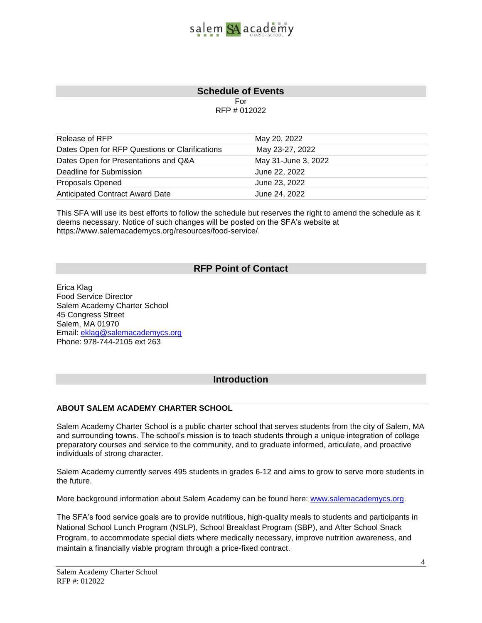

#### **Schedule of Events** For RFP # 012022

| Release of RFP                                 | May 20, 2022        |
|------------------------------------------------|---------------------|
| Dates Open for RFP Questions or Clarifications | May 23-27, 2022     |
| Dates Open for Presentations and Q&A           | May 31-June 3, 2022 |
| Deadline for Submission                        | June 22, 2022       |
| <b>Proposals Opened</b>                        | June 23, 2022       |
| <b>Anticipated Contract Award Date</b>         | June 24, 2022       |

This SFA will use its best efforts to follow the schedule but reserves the right to amend the schedule as it deems necessary. Notice of such changes will be posted on the SFA's website at https://www.salemacademycs.org/resources/food-service/.

# **RFP Point of Contact**

Erica Klag Food Service Director Salem Academy Charter School 45 Congress Street Salem, MA 01970 Email: [eklag@salemacademycs.org](mailto:eklag@salemacademycs.org) Phone: 978-744-2105 ext 263

# **Introduction**

#### **ABOUT SALEM ACADEMY CHARTER SCHOOL**

Salem Academy Charter School is a public charter school that serves students from the city of Salem, MA and surrounding towns. The school's mission is to teach students through a unique integration of college preparatory courses and service to the community, and to graduate informed, articulate, and proactive individuals of strong character.

Salem Academy currently serves 495 students in grades 6-12 and aims to grow to serve more students in the future.

More background information about Salem Academy can be found here: [www.salemacademycs.org.](http://www.salemacademycs.org/)

The SFA's food service goals are to provide nutritious, high-quality meals to students and participants in National School Lunch Program (NSLP), School Breakfast Program (SBP), and After School Snack Program, to accommodate special diets where medically necessary, improve nutrition awareness, and maintain a financially viable program through a price-fixed contract.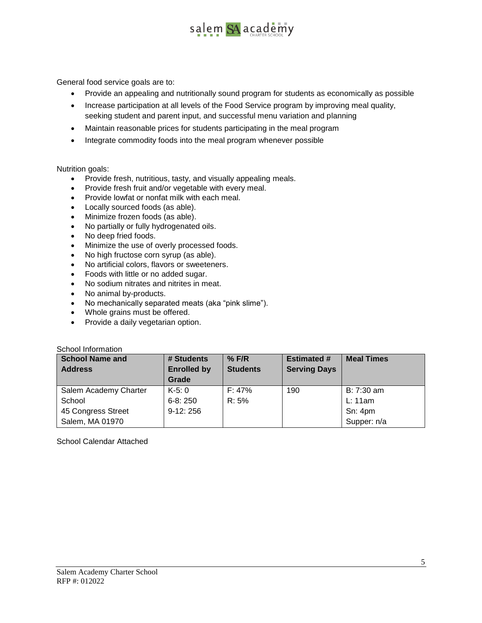

General food service goals are to:

- Provide an appealing and nutritionally sound program for students as economically as possible
- Increase participation at all levels of the Food Service program by improving meal quality, seeking student and parent input, and successful menu variation and planning
- Maintain reasonable prices for students participating in the meal program
- Integrate commodity foods into the meal program whenever possible

#### Nutrition goals:

- Provide fresh, nutritious, tasty, and visually appealing meals.
- Provide fresh fruit and/or vegetable with every meal.
- Provide lowfat or nonfat milk with each meal.
- Locally sourced foods (as able).
- Minimize frozen foods (as able).
- No partially or fully hydrogenated oils.
- No deep fried foods.
- Minimize the use of overly processed foods.
- No high fructose corn syrup (as able).
- No artificial colors, flavors or sweeteners.
- Foods with little or no added sugar.
- No sodium nitrates and nitrites in meat.
- No animal by-products.
- No mechanically separated meats (aka "pink slime").
- Whole grains must be offered.
- Provide a daily vegetarian option.

School Information

| <b>School Name and</b><br><b>Address</b> | # Students<br><b>Enrolled by</b><br>Grade | $%$ F/R<br><b>Students</b> | <b>Estimated #</b><br><b>Serving Days</b> | <b>Meal Times</b> |
|------------------------------------------|-------------------------------------------|----------------------------|-------------------------------------------|-------------------|
| Salem Academy Charter                    | $K-5:0$                                   | $F: 47\%$                  | 190                                       | B: 7:30 am        |
| School                                   | $6-8:250$                                 | R: 5%                      |                                           | L: 11am           |
| 45 Congress Street                       | $9-12:256$                                |                            |                                           | Sn: 4pm           |
| Salem, MA 01970                          |                                           |                            |                                           | Supper: n/a       |

School Calendar Attached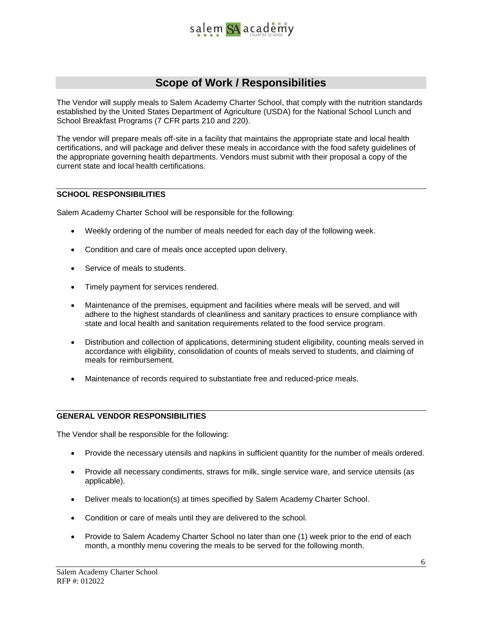

# **Scope of Work / Responsibilities**

The Vendor will supply meals to Salem Academy Charter School, that comply with the nutrition standards established by the United States Department of Agriculture (USDA) for the National School Lunch and School Breakfast Programs (7 CFR parts 210 and 220).

The vendor will prepare meals off-site in a facility that maintains the appropriate state and local health certifications, and will package and deliver these meals in accordance with the food safety guidelines of the appropriate governing health departments. Vendors must submit with their proposal a copy of the current state and local health certifications.

#### **SCHOOL RESPONSIBILITIES**

Salem Academy Charter School will be responsible for the following:

- Weekly ordering of the number of meals needed for each day of the following week.
- Condition and care of meals once accepted upon delivery.
- Service of meals to students.
- Timely payment for services rendered.
- Maintenance of the premises, equipment and facilities where meals will be served, and will adhere to the highest standards of cleanliness and sanitary practices to ensure compliance with state and local health and sanitation requirements related to the food service program.
- Distribution and collection of applications, determining student eligibility, counting meals served in accordance with eligibility, consolidation of counts of meals served to students, and claiming of meals for reimbursement.
- Maintenance of records required to substantiate free and reduced-price meals.

#### **GENERAL VENDOR RESPONSIBILITIES**

The Vendor shall be responsible for the following:

- Provide the necessary utensils and napkins in sufficient quantity for the number of meals ordered.
- Provide all necessary condiments, straws for milk, single service ware, and service utensils (as applicable).
- Deliver meals to location(s) at times specified by Salem Academy Charter School.
- Condition or care of meals until they are delivered to the school.
- Provide to Salem Academy Charter School no later than one (1) week prior to the end of each month, a monthly menu covering the meals to be served for the following month.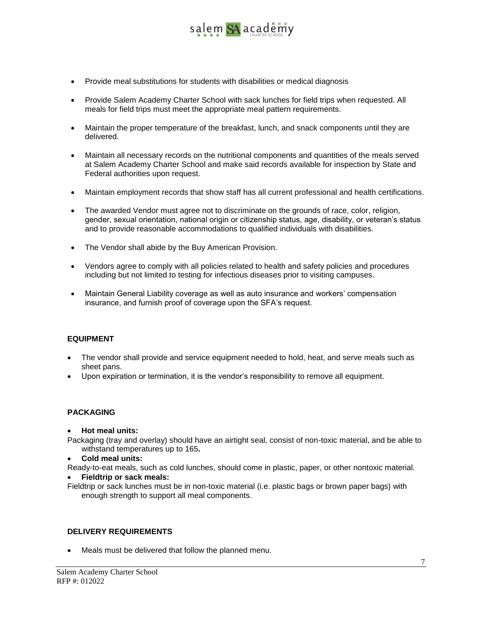

- Provide meal substitutions for students with disabilities or medical diagnosis
- Provide Salem Academy Charter School with sack lunches for field trips when requested. All meals for field trips must meet the appropriate meal pattern requirements.
- Maintain the proper temperature of the breakfast, lunch, and snack components until they are delivered.
- Maintain all necessary records on the nutritional components and quantities of the meals served at Salem Academy Charter School and make said records available for inspection by State and Federal authorities upon request.
- Maintain employment records that show staff has all current professional and health certifications.
- The awarded Vendor must agree not to discriminate on the grounds of race, color, religion, gender, sexual orientation, national origin or citizenship status, age, disability, or veteran's status and to provide reasonable accommodations to qualified individuals with disabilities.
- The Vendor shall abide by the Buy American Provision.
- Vendors agree to comply with all policies related to health and safety policies and procedures including but not limited to testing for infectious diseases prior to visiting campuses.
- Maintain General Liability coverage as well as auto insurance and workers' compensation insurance, and furnish proof of coverage upon the SFA's request.

#### **EQUIPMENT**

- The vendor shall provide and service equipment needed to hold, heat, and serve meals such as sheet pans.
- Upon expiration or termination, it is the vendor's responsibility to remove all equipment.

#### **PACKAGING**

- **Hot meal units:**
- Packaging (tray and overlay) should have an airtight seal, consist of non-toxic material, and be able to withstand temperatures up to 165**.**
- **Cold meal units:**
- Ready-to-eat meals, such as cold lunches, should come in plastic, paper, or other nontoxic material.

#### **Fieldtrip or sack meals:**

Fieldtrip or sack lunches must be in non-toxic material (i.e. plastic bags or brown paper bags) with enough strength to support all meal components.

#### **DELIVERY REQUIREMENTS**

Meals must be delivered that follow the planned menu.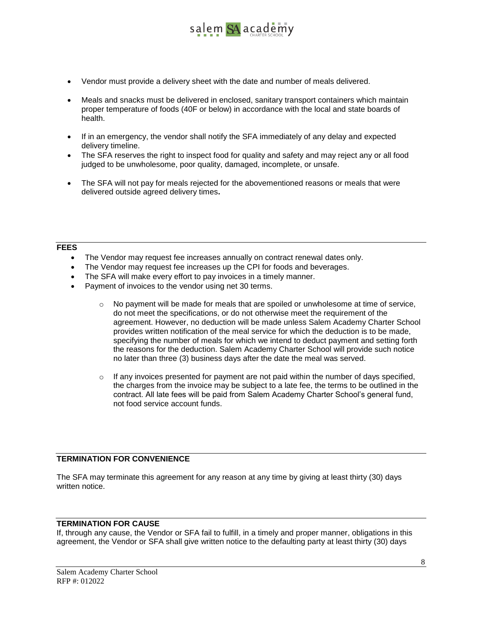

- Vendor must provide a delivery sheet with the date and number of meals delivered.
- Meals and snacks must be delivered in enclosed, sanitary transport containers which maintain proper temperature of foods (40F or below) in accordance with the local and state boards of health.
- If in an emergency, the vendor shall notify the SFA immediately of any delay and expected delivery timeline.
- The SFA reserves the right to inspect food for quality and safety and may reject any or all food judged to be unwholesome, poor quality, damaged, incomplete, or unsafe.
- The SFA will not pay for meals rejected for the abovementioned reasons or meals that were delivered outside agreed delivery times**.**

#### **FEES**

- The Vendor may request fee increases annually on contract renewal dates only.
- The Vendor may request fee increases up the CPI for foods and beverages.
- The SFA will make every effort to pay invoices in a timely manner.
- Payment of invoices to the vendor using net 30 terms.
	- $\circ$  No payment will be made for meals that are spoiled or unwholesome at time of service, do not meet the specifications, or do not otherwise meet the requirement of the agreement. However, no deduction will be made unless Salem Academy Charter School provides written notification of the meal service for which the deduction is to be made, specifying the number of meals for which we intend to deduct payment and setting forth the reasons for the deduction. Salem Academy Charter School will provide such notice no later than three (3) business days after the date the meal was served.
	- $\circ$  If any invoices presented for payment are not paid within the number of days specified, the charges from the invoice may be subject to a late fee, the terms to be outlined in the contract. All late fees will be paid from Salem Academy Charter School's general fund, not food service account funds.

#### **TERMINATION FOR CONVENIENCE**

The SFA may terminate this agreement for any reason at any time by giving at least thirty (30) days written notice.

#### **TERMINATION FOR CAUSE**

If, through any cause, the Vendor or SFA fail to fulfill, in a timely and proper manner, obligations in this agreement, the Vendor or SFA shall give written notice to the defaulting party at least thirty (30) days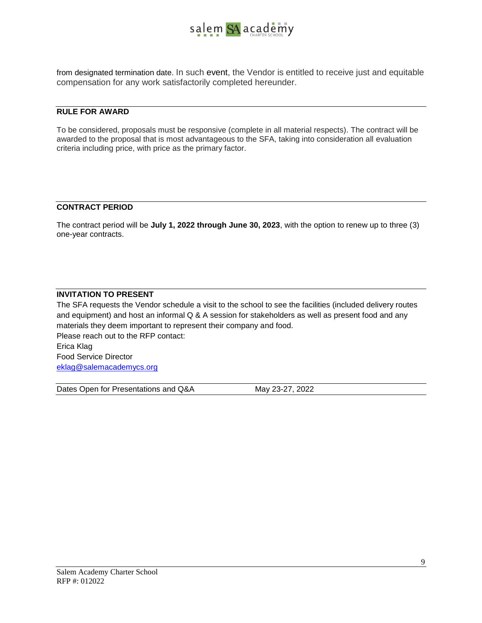

from designated termination date. In such event, the Vendor is entitled to receive just and equitable compensation for any work satisfactorily completed hereunder.

#### **RULE FOR AWARD**

To be considered, proposals must be responsive (complete in all material respects). The contract will be awarded to the proposal that is most advantageous to the SFA, taking into consideration all evaluation criteria including price, with price as the primary factor.

#### **CONTRACT PERIOD**

The contract period will be **July 1, 2022 through June 30, 2023**, with the option to renew up to three (3) one-year contracts.

#### **INVITATION TO PRESENT**

The SFA requests the Vendor schedule a visit to the school to see the facilities (included delivery routes and equipment) and host an informal Q & A session for stakeholders as well as present food and any materials they deem important to represent their company and food. Please reach out to the RFP contact: Erica Klag Food Service Director [eklag@salemacademycs.org](mailto:eklag@salemacademycs.org)

Dates Open for Presentations and Q&A May 23-27, 2022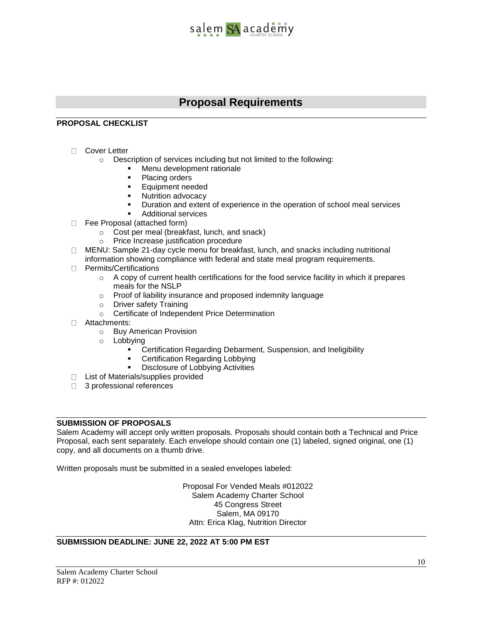

# **Proposal Requirements**

## **PROPOSAL CHECKLIST**

- **Cover Letter** 
	- o Description of services including but not limited to the following:
		- Menu development rationale
		- Placing orders
		- **Equipment needed**
		- Nutrition advocacy
		- Duration and extent of experience in the operation of school meal services
		- Additional services
- □ Fee Proposal (attached form)
	- o Cost per meal (breakfast, lunch, and snack)
	- o Price Increase justification procedure
- MENU: Sample 21-day cycle menu for breakfast, lunch, and snacks including nutritional information showing compliance with federal and state meal program requirements.
- □ Permits/Certifications
	- $\circ$  A copy of current health certifications for the food service facility in which it prepares meals for the NSLP
	- o Proof of liability insurance and proposed indemnity language
	- o Driver safety Training
	- o Certificate of Independent Price Determination
- Attachments:
	- o Buy American Provision
	- o Lobbying
		- Certification Regarding Debarment, Suspension, and Ineligibility
		- Certification Regarding Lobbying
		- Disclosure of Lobbying Activities
- □ List of Materials/supplies provided
- **3** professional references

#### **SUBMISSION OF PROPOSALS**

Salem Academy will accept only written proposals. Proposals should contain both a Technical and Price Proposal, each sent separately. Each envelope should contain one (1) labeled, signed original, one (1) copy, and all documents on a thumb drive.

Written proposals must be submitted in a sealed envelopes labeled:

Proposal For Vended Meals #012022 Salem Academy Charter School 45 Congress Street Salem, MA 09170 Attn: Erica Klag, Nutrition Director

#### **SUBMISSION DEADLINE: JUNE 22, 2022 AT 5:00 PM EST**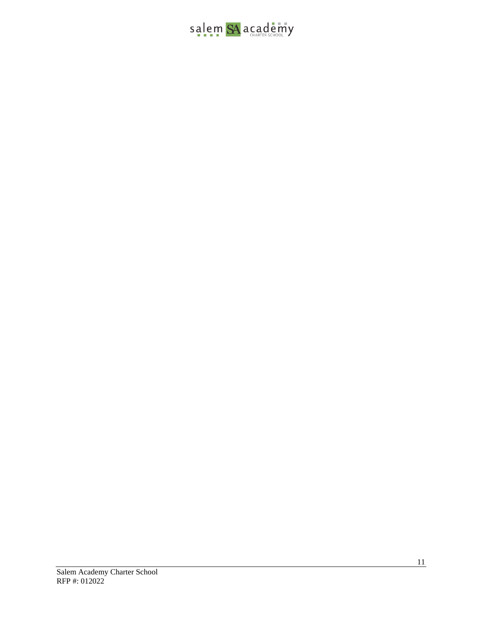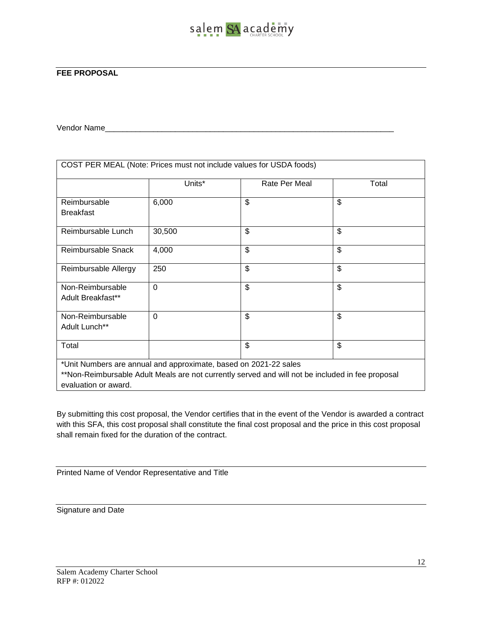# salem SA academy

#### **FEE PROPOSAL**

Vendor Name\_\_\_\_\_\_\_\_\_\_\_\_\_\_\_\_\_\_\_\_\_\_\_\_\_\_\_\_\_\_\_\_\_\_\_\_\_\_\_\_\_\_\_\_\_\_\_\_\_\_\_\_\_\_\_\_\_\_\_\_\_\_\_\_\_\_

| COST PER MEAL (Note: Prices must not include values for USDA foods)                                                                                                  |                |               |       |
|----------------------------------------------------------------------------------------------------------------------------------------------------------------------|----------------|---------------|-------|
|                                                                                                                                                                      | Units*         | Rate Per Meal | Total |
| Reimbursable<br><b>Breakfast</b>                                                                                                                                     | 6,000          | \$            | \$    |
| Reimbursable Lunch                                                                                                                                                   | 30,500         | \$            | \$    |
| Reimbursable Snack                                                                                                                                                   | 4,000          | \$            | \$    |
| Reimbursable Allergy                                                                                                                                                 | 250            | \$            | \$    |
| Non-Reimbursable<br>Adult Breakfast**                                                                                                                                | $\overline{0}$ | \$            | \$    |
| Non-Reimbursable<br>Adult Lunch**                                                                                                                                    | $\overline{0}$ | \$            | \$    |
| Total                                                                                                                                                                |                | \$            | \$    |
| *Unit Numbers are annual and approximate, based on 2021-22 sales<br>**Non-Reimbursable Adult Meals are not currently served and will not be included in fee proposal |                |               |       |

evaluation or award.

By submitting this cost proposal, the Vendor certifies that in the event of the Vendor is awarded a contract with this SFA, this cost proposal shall constitute the final cost proposal and the price in this cost proposal shall remain fixed for the duration of the contract.

Printed Name of Vendor Representative and Title

Signature and Date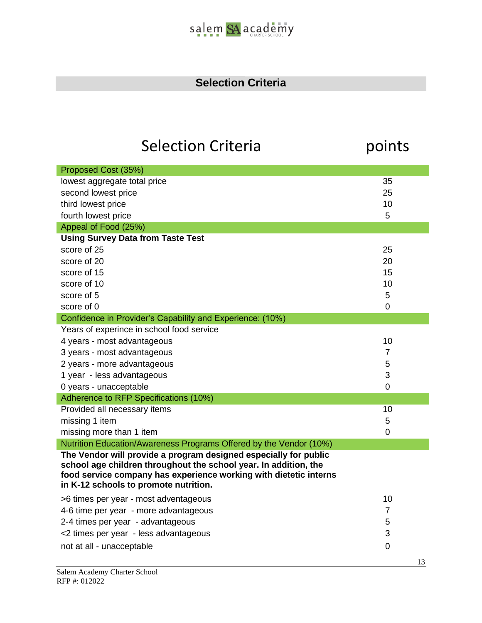

**Selection Criteria**

# Selection Criteria **points**

| Proposed Cost (35%)                                                                                                                                                                                                                                |                |
|----------------------------------------------------------------------------------------------------------------------------------------------------------------------------------------------------------------------------------------------------|----------------|
| lowest aggregate total price                                                                                                                                                                                                                       | 35             |
| second lowest price                                                                                                                                                                                                                                | 25             |
| third lowest price                                                                                                                                                                                                                                 | 10             |
| fourth lowest price                                                                                                                                                                                                                                | 5              |
| Appeal of Food (25%)                                                                                                                                                                                                                               |                |
| <b>Using Survey Data from Taste Test</b>                                                                                                                                                                                                           |                |
| score of 25                                                                                                                                                                                                                                        | 25             |
| score of 20                                                                                                                                                                                                                                        | 20             |
| score of 15                                                                                                                                                                                                                                        | 15             |
| score of 10                                                                                                                                                                                                                                        | 10             |
| score of 5                                                                                                                                                                                                                                         | 5              |
| score of 0                                                                                                                                                                                                                                         | $\mathbf 0$    |
| Confidence in Provider's Capability and Experience: (10%)                                                                                                                                                                                          |                |
| Years of experince in school food service                                                                                                                                                                                                          |                |
| 4 years - most advantageous                                                                                                                                                                                                                        | 10             |
| 3 years - most advantageous                                                                                                                                                                                                                        | $\overline{7}$ |
| 2 years - more advantageous                                                                                                                                                                                                                        | 5              |
| 1 year - less advantageous                                                                                                                                                                                                                         | 3              |
| 0 years - unacceptable                                                                                                                                                                                                                             | $\overline{0}$ |
| Adherence to RFP Specifications (10%)                                                                                                                                                                                                              |                |
| Provided all necessary items                                                                                                                                                                                                                       | 10             |
| missing 1 item                                                                                                                                                                                                                                     | 5              |
| missing more than 1 item                                                                                                                                                                                                                           | $\overline{0}$ |
| Nutrition Education/Awareness Programs Offered by the Vendor (10%)                                                                                                                                                                                 |                |
| The Vendor will provide a program designed especially for public<br>school age children throughout the school year. In addition, the<br>food service company has experience working with dietetic interns<br>in K-12 schools to promote nutrition. |                |
| >6 times per year - most adventageous                                                                                                                                                                                                              | 10             |
| 4-6 time per year - more advantageous                                                                                                                                                                                                              | $\overline{7}$ |
| 2-4 times per year - advantageous                                                                                                                                                                                                                  | 5              |
| <2 times per year - less advantageous                                                                                                                                                                                                              | 3              |
| not at all - unacceptable                                                                                                                                                                                                                          | $\overline{0}$ |
|                                                                                                                                                                                                                                                    |                |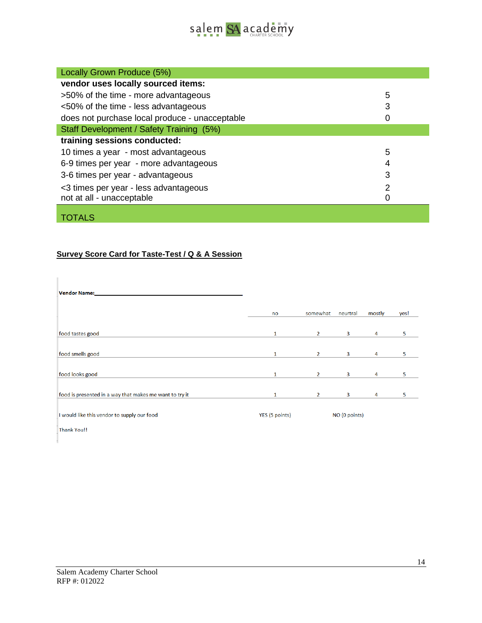

| Locally Grown Produce (5%)                     |   |
|------------------------------------------------|---|
| vendor uses locally sourced items:             |   |
| >50% of the time - more advantageous           | 5 |
| <50% of the time - less advantageous           | 3 |
| does not purchase local produce - unacceptable | 0 |
| Staff Development / Safety Training (5%)       |   |
| training sessions conducted:                   |   |
| 10 times a year - most advantageous            | 5 |
| 6-9 times per year - more advantageous         | 4 |
| 3-6 times per year - advantageous              | 3 |
| <3 times per year - less advantageous          | 2 |
| not at all - unacceptable                      | 0 |
| TOTALS                                         |   |

# **Survey Score Card for Taste-Test / Q & A Session**

| <b>Vendor Name:</b>                                     |                |                |               |        |      |
|---------------------------------------------------------|----------------|----------------|---------------|--------|------|
|                                                         | no             | somewhat       | neurtral      | mostly | yes! |
| food tastes good                                        | 1              | $2^{\circ}$    | 3             | 4      | 5    |
| food smells good                                        | $\mathbf{1}$   | $2^{\circ}$    | 3             | 4      | 5    |
|                                                         |                |                |               |        |      |
| food looks good                                         | $\mathbf{1}$   | $\overline{2}$ | 3             | 4      | 5    |
| food is presented in a way that makes me want to try it | 1              | $\overline{2}$ | 3             | 4      | 5    |
| I would like this vendor to supply our food             | YES (5 points) |                | NO (0 points) |        |      |
| <b>Thank You!!</b>                                      |                |                |               |        |      |
|                                                         |                |                |               |        |      |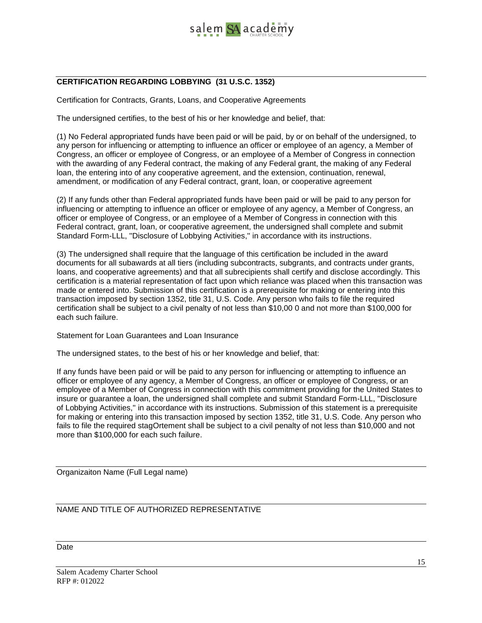

#### **CERTIFICATION REGARDING LOBBYING (31 U.S.C. 1352)**

Certification for Contracts, Grants, Loans, and Cooperative Agreements

The undersigned certifies, to the best of his or her knowledge and belief, that:

(1) No Federal appropriated funds have been paid or will be paid, by or on behalf of the undersigned, to any person for influencing or attempting to influence an officer or employee of an agency, a Member of Congress, an officer or employee of Congress, or an employee of a Member of Congress in connection with the awarding of any Federal contract, the making of any Federal grant, the making of any Federal loan, the entering into of any cooperative agreement, and the extension, continuation, renewal, amendment, or modification of any Federal contract, grant, loan, or cooperative agreement

(2) If any funds other than Federal appropriated funds have been paid or will be paid to any person for influencing or attempting to influence an officer or employee of any agency, a Member of Congress, an officer or employee of Congress, or an employee of a Member of Congress in connection with this Federal contract, grant, loan, or cooperative agreement, the undersigned shall complete and submit Standard Form-LLL, ''Disclosure of Lobbying Activities,'' in accordance with its instructions.

(3) The undersigned shall require that the language of this certification be included in the award documents for all subawards at all tiers (including subcontracts, subgrants, and contracts under grants, loans, and cooperative agreements) and that all subrecipients shall certify and disclose accordingly. This certification is a material representation of fact upon which reliance was placed when this transaction was made or entered into. Submission of this certification is a prerequisite for making or entering into this transaction imposed by section 1352, title 31, U.S. Code. Any person who fails to file the required certification shall be subject to a civil penalty of not less than \$10,00 0 and not more than \$100,000 for each such failure.

Statement for Loan Guarantees and Loan Insurance

The undersigned states, to the best of his or her knowledge and belief, that:

If any funds have been paid or will be paid to any person for influencing or attempting to influence an officer or employee of any agency, a Member of Congress, an officer or employee of Congress, or an employee of a Member of Congress in connection with this commitment providing for the United States to insure or guarantee a loan, the undersigned shall complete and submit Standard Form-LLL, ''Disclosure of Lobbying Activities,'' in accordance with its instructions. Submission of this statement is a prerequisite for making or entering into this transaction imposed by section 1352, title 31, U.S. Code. Any person who fails to file the required stagOrtement shall be subject to a civil penalty of not less than \$10,000 and not more than \$100,000 for each such failure.

Organizaiton Name (Full Legal name)

#### NAME AND TITLE OF AUTHORIZED REPRESENTATIVE

Date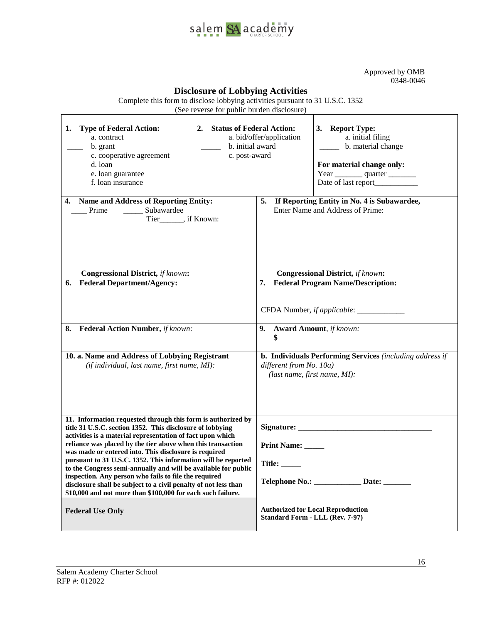

#### Approved by OMB 0348-0046

#### **Disclosure of Lobbying Activities**

Complete this form to disclose lobbying activities pursuant to 31 U.S.C. 1352

(See reverse for public burden disclosure)

| <b>Type of Federal Action:</b><br>1.<br>a. contract<br>b. grant<br>c. cooperative agreement<br>d. loan<br>e. loan guarantee<br>f. loan insurance                                                                                                                                                                                                                                                                                                                                                                                                                                                                                              | 2. Status of Federal Action:<br>a. bid/offer/application<br>b. initial award<br>c. post-award |                                                                                                                     | 3. Report Type:<br>a. initial filing<br>b. material change<br>For material change only:<br>Year ___________ quarter __________ |  |
|-----------------------------------------------------------------------------------------------------------------------------------------------------------------------------------------------------------------------------------------------------------------------------------------------------------------------------------------------------------------------------------------------------------------------------------------------------------------------------------------------------------------------------------------------------------------------------------------------------------------------------------------------|-----------------------------------------------------------------------------------------------|---------------------------------------------------------------------------------------------------------------------|--------------------------------------------------------------------------------------------------------------------------------|--|
| 4. Name and Address of Reporting Entity:<br>Subawardee<br>Prime<br>Tier ______, if Known:                                                                                                                                                                                                                                                                                                                                                                                                                                                                                                                                                     | 5.                                                                                            |                                                                                                                     | If Reporting Entity in No. 4 is Subawardee,<br>Enter Name and Address of Prime:                                                |  |
| <b>Congressional District, if known:</b><br><b>Federal Department/Agency:</b><br>6.                                                                                                                                                                                                                                                                                                                                                                                                                                                                                                                                                           |                                                                                               | <b>Congressional District, if known:</b><br>7. Federal Program Name/Description:                                    |                                                                                                                                |  |
| Federal Action Number, if known:<br>8.                                                                                                                                                                                                                                                                                                                                                                                                                                                                                                                                                                                                        |                                                                                               | 9. Award Amount, if known:<br>\$                                                                                    |                                                                                                                                |  |
| 10. a. Name and Address of Lobbying Registrant<br>(if individual, last name, first name, MI):                                                                                                                                                                                                                                                                                                                                                                                                                                                                                                                                                 |                                                                                               | b. Individuals Performing Services (including address if<br>different from No. 10a)<br>(last name, first name, MI): |                                                                                                                                |  |
| 11. Information requested through this form is authorized by<br>title 31 U.S.C. section 1352. This disclosure of lobbying<br>activities is a material representation of fact upon which<br>reliance was placed by the tier above when this transaction<br>was made or entered into. This disclosure is required<br>pursuant to 31 U.S.C. 1352. This information will be reported<br>to the Congress semi-annually and will be available for public<br>inspection. Any person who fails to file the required<br>disclosure shall be subject to a civil penalty of not less than<br>\$10,000 and not more than \$100,000 for each such failure. |                                                                                               | Print Name:<br>Title:<br>Telephone No.: ______________ Date: ________                                               |                                                                                                                                |  |
| <b>Federal Use Only</b>                                                                                                                                                                                                                                                                                                                                                                                                                                                                                                                                                                                                                       |                                                                                               | <b>Authorized for Local Reproduction</b><br>Standard Form - LLL (Rev. 7-97)                                         |                                                                                                                                |  |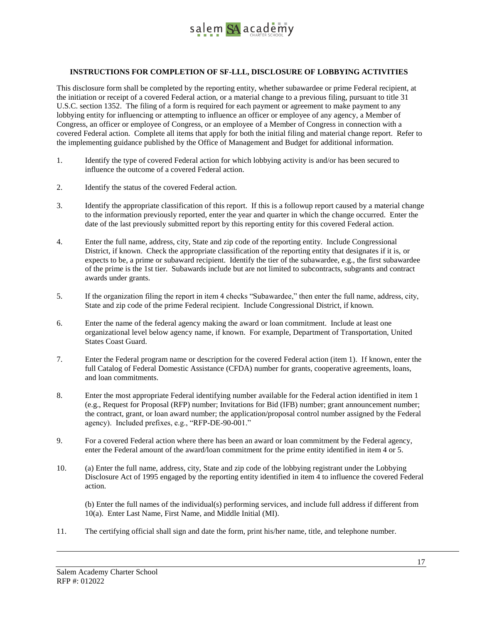

#### **INSTRUCTIONS FOR COMPLETION OF SF-LLL, DISCLOSURE OF LOBBYING ACTIVITIES**

This disclosure form shall be completed by the reporting entity, whether subawardee or prime Federal recipient, at the initiation or receipt of a covered Federal action, or a material change to a previous filing, pursuant to title 31 U.S.C. section 1352. The filing of a form is required for each payment or agreement to make payment to any lobbying entity for influencing or attempting to influence an officer or employee of any agency, a Member of Congress, an officer or employee of Congress, or an employee of a Member of Congress in connection with a covered Federal action. Complete all items that apply for both the initial filing and material change report. Refer to the implementing guidance published by the Office of Management and Budget for additional information.

- 1. Identify the type of covered Federal action for which lobbying activity is and/or has been secured to influence the outcome of a covered Federal action.
- 2. Identify the status of the covered Federal action.
- 3. Identify the appropriate classification of this report. If this is a followup report caused by a material change to the information previously reported, enter the year and quarter in which the change occurred. Enter the date of the last previously submitted report by this reporting entity for this covered Federal action.
- 4. Enter the full name, address, city, State and zip code of the reporting entity. Include Congressional District, if known. Check the appropriate classification of the reporting entity that designates if it is, or expects to be, a prime or subaward recipient. Identify the tier of the subawardee, e.g., the first subawardee of the prime is the 1st tier. Subawards include but are not limited to subcontracts, subgrants and contract awards under grants.
- 5. If the organization filing the report in item 4 checks "Subawardee," then enter the full name, address, city, State and zip code of the prime Federal recipient. Include Congressional District, if known.
- 6. Enter the name of the federal agency making the award or loan commitment. Include at least one organizational level below agency name, if known. For example, Department of Transportation, United States Coast Guard.
- 7. Enter the Federal program name or description for the covered Federal action (item 1). If known, enter the full Catalog of Federal Domestic Assistance (CFDA) number for grants, cooperative agreements, loans, and loan commitments.
- 8. Enter the most appropriate Federal identifying number available for the Federal action identified in item 1 (e.g., Request for Proposal (RFP) number; Invitations for Bid (IFB) number; grant announcement number; the contract, grant, or loan award number; the application/proposal control number assigned by the Federal agency). Included prefixes, e.g., "RFP-DE-90-001."
- 9. For a covered Federal action where there has been an award or loan commitment by the Federal agency, enter the Federal amount of the award/loan commitment for the prime entity identified in item 4 or 5.
- 10. (a) Enter the full name, address, city, State and zip code of the lobbying registrant under the Lobbying Disclosure Act of 1995 engaged by the reporting entity identified in item 4 to influence the covered Federal action.

(b) Enter the full names of the individual(s) performing services, and include full address if different from 10(a). Enter Last Name, First Name, and Middle Initial (MI).

11. The certifying official shall sign and date the form, print his/her name, title, and telephone number.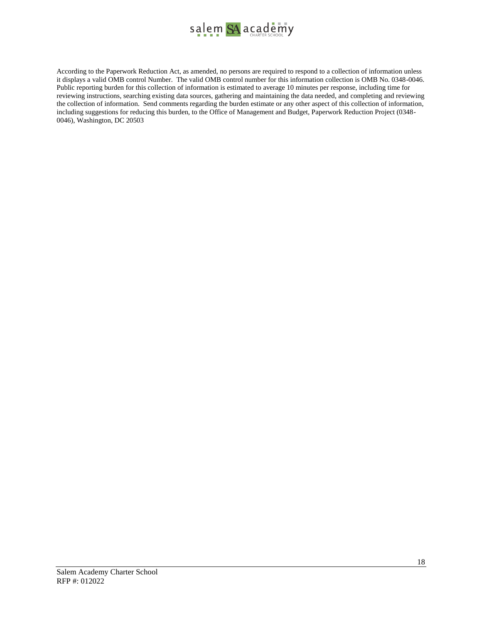

According to the Paperwork Reduction Act, as amended, no persons are required to respond to a collection of information unless it displays a valid OMB control Number. The valid OMB control number for this information collection is OMB No. 0348-0046. Public reporting burden for this collection of information is estimated to average 10 minutes per response, including time for reviewing instructions, searching existing data sources, gathering and maintaining the data needed, and completing and reviewing the collection of information. Send comments regarding the burden estimate or any other aspect of this collection of information, including suggestions for reducing this burden, to the Office of Management and Budget, Paperwork Reduction Project (0348- 0046), Washington, DC 20503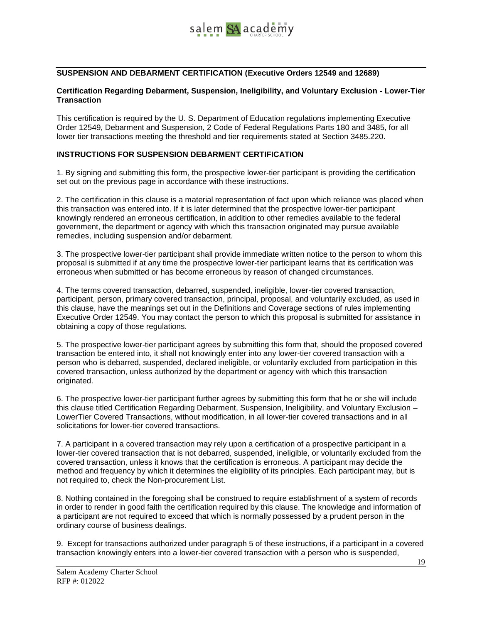

#### **SUSPENSION AND DEBARMENT CERTIFICATION (Executive Orders 12549 and 12689)**

#### **Certification Regarding Debarment, Suspension, Ineligibility, and Voluntary Exclusion - Lower-Tier Transaction**

This certification is required by the U. S. Department of Education regulations implementing Executive Order 12549, Debarment and Suspension, 2 Code of Federal Regulations Parts 180 and 3485, for all lower tier transactions meeting the threshold and tier requirements stated at Section 3485.220.

#### **INSTRUCTIONS FOR SUSPENSION DEBARMENT CERTIFICATION**

1. By signing and submitting this form, the prospective lower-tier participant is providing the certification set out on the previous page in accordance with these instructions.

2. The certification in this clause is a material representation of fact upon which reliance was placed when this transaction was entered into. If it is later determined that the prospective lower-tier participant knowingly rendered an erroneous certification, in addition to other remedies available to the federal government, the department or agency with which this transaction originated may pursue available remedies, including suspension and/or debarment.

3. The prospective lower-tier participant shall provide immediate written notice to the person to whom this proposal is submitted if at any time the prospective lower-tier participant learns that its certification was erroneous when submitted or has become erroneous by reason of changed circumstances.

4. The terms covered transaction, debarred, suspended, ineligible, lower-tier covered transaction, participant, person, primary covered transaction, principal, proposal, and voluntarily excluded, as used in this clause, have the meanings set out in the Definitions and Coverage sections of rules implementing Executive Order 12549. You may contact the person to which this proposal is submitted for assistance in obtaining a copy of those regulations.

5. The prospective lower-tier participant agrees by submitting this form that, should the proposed covered transaction be entered into, it shall not knowingly enter into any lower-tier covered transaction with a person who is debarred, suspended, declared ineligible, or voluntarily excluded from participation in this covered transaction, unless authorized by the department or agency with which this transaction originated.

6. The prospective lower-tier participant further agrees by submitting this form that he or she will include this clause titled Certification Regarding Debarment, Suspension, Ineligibility, and Voluntary Exclusion – LowerTier Covered Transactions, without modification, in all lower-tier covered transactions and in all solicitations for lower-tier covered transactions.

7. A participant in a covered transaction may rely upon a certification of a prospective participant in a lower-tier covered transaction that is not debarred, suspended, ineligible, or voluntarily excluded from the covered transaction, unless it knows that the certification is erroneous. A participant may decide the method and frequency by which it determines the eligibility of its principles. Each participant may, but is not required to, check the Non-procurement List.

8. Nothing contained in the foregoing shall be construed to require establishment of a system of records in order to render in good faith the certification required by this clause. The knowledge and information of a participant are not required to exceed that which is normally possessed by a prudent person in the ordinary course of business dealings.

9. Except for transactions authorized under paragraph 5 of these instructions, if a participant in a covered transaction knowingly enters into a lower-tier covered transaction with a person who is suspended,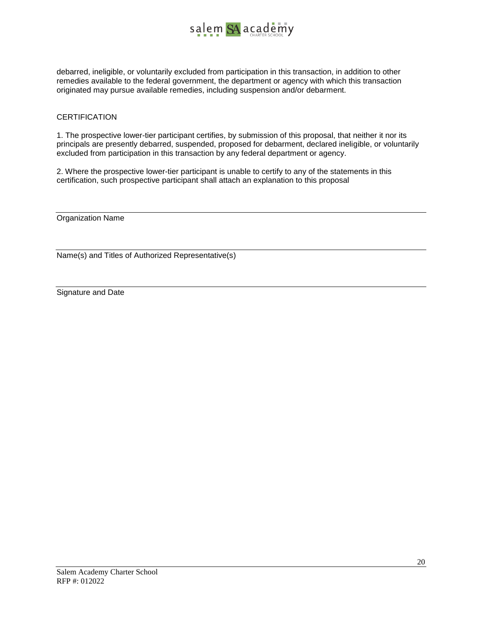

debarred, ineligible, or voluntarily excluded from participation in this transaction, in addition to other remedies available to the federal government, the department or agency with which this transaction originated may pursue available remedies, including suspension and/or debarment.

#### **CERTIFICATION**

1. The prospective lower-tier participant certifies, by submission of this proposal, that neither it nor its principals are presently debarred, suspended, proposed for debarment, declared ineligible, or voluntarily excluded from participation in this transaction by any federal department or agency.

2. Where the prospective lower-tier participant is unable to certify to any of the statements in this certification, such prospective participant shall attach an explanation to this proposal

Organization Name

Name(s) and Titles of Authorized Representative(s)

Signature and Date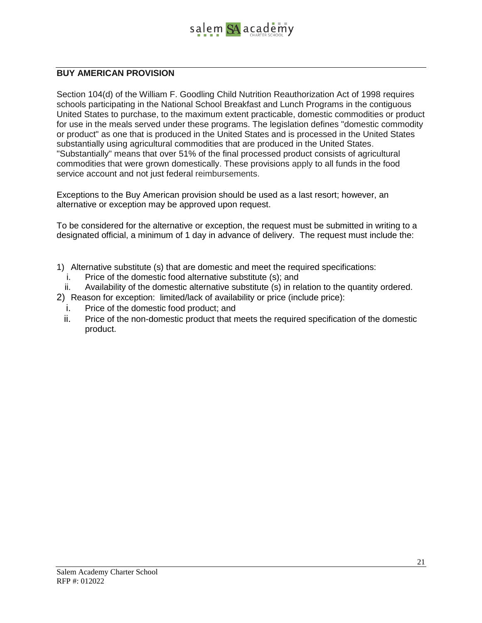

### **BUY AMERICAN PROVISION**

Section 104(d) of the William F. Goodling Child Nutrition Reauthorization Act of 1998 requires schools participating in the National School Breakfast and Lunch Programs in the contiguous United States to purchase, to the maximum extent practicable, domestic commodities or product for use in the meals served under these programs. The legislation defines "domestic commodity or product" as one that is produced in the United States and is processed in the United States substantially using agricultural commodities that are produced in the United States. "Substantially" means that over 51% of the final processed product consists of agricultural commodities that were grown domestically. These provisions apply to all funds in the food service account and not just federal reimbursements.

Exceptions to the Buy American provision should be used as a last resort; however, an alternative or exception may be approved upon request.

To be considered for the alternative or exception, the request must be submitted in writing to a designated official, a minimum of 1 day in advance of delivery. The request must include the:

- 1) Alternative substitute (s) that are domestic and meet the required specifications:
	- i. Price of the domestic food alternative substitute (s); and
- ii. Availability of the domestic alternative substitute (s) in relation to the quantity ordered.
- 2) Reason for exception: limited/lack of availability or price (include price):
	- i. Price of the domestic food product; and
	- ii. Price of the non-domestic product that meets the required specification of the domestic product.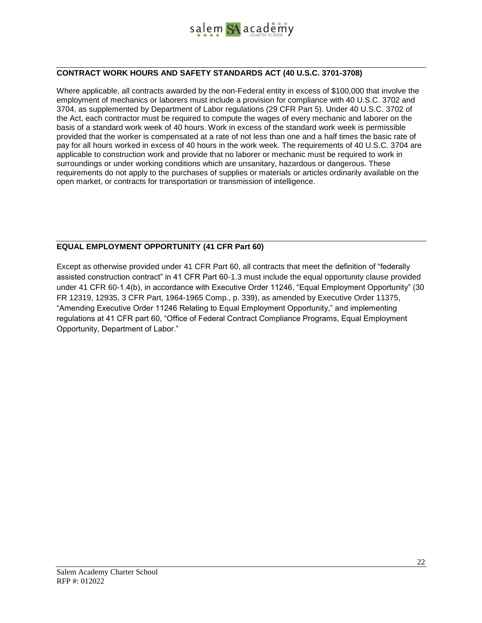

#### **CONTRACT WORK HOURS AND SAFETY STANDARDS ACT (40 U.S.C. 3701-3708)**

Where applicable, all contracts awarded by the non-Federal entity in excess of \$100,000 that involve the employment of mechanics or laborers must include a provision for compliance with 40 U.S.C. 3702 and 3704, as supplemented by Department of Labor regulations (29 CFR Part 5). Under 40 U.S.C. 3702 of the Act, each contractor must be required to compute the wages of every mechanic and laborer on the basis of a standard work week of 40 hours. Work in excess of the standard work week is permissible provided that the worker is compensated at a rate of not less than one and a half times the basic rate of pay for all hours worked in excess of 40 hours in the work week. The requirements of 40 U.S.C. 3704 are applicable to construction work and provide that no laborer or mechanic must be required to work in surroundings or under working conditions which are unsanitary, hazardous or dangerous. These requirements do not apply to the purchases of supplies or materials or articles ordinarily available on the open market, or contracts for transportation or transmission of intelligence.

#### **EQUAL EMPLOYMENT OPPORTUNITY (41 CFR Part 60)**

Except as otherwise provided under 41 CFR Part 60, all contracts that meet the definition of "federally assisted construction contract" in 41 CFR Part 60-1.3 must include the equal opportunity clause provided under 41 CFR 60-1.4(b), in accordance with Executive Order 11246, "Equal Employment Opportunity" (30 FR 12319, 12935, 3 CFR Part, 1964-1965 Comp., p. 339), as amended by Executive Order 11375, "Amending Executive Order 11246 Relating to Equal Employment Opportunity," and implementing regulations at 41 CFR part 60, "Office of Federal Contract Compliance Programs, Equal Employment Opportunity, Department of Labor."